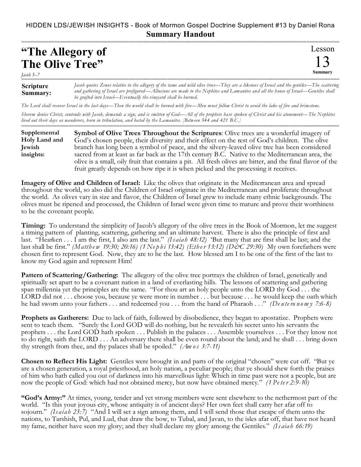## HIDDEN LDS/JEWISH INSIGHTS - Book of Mormon Gospel Doctrine Supplement #13 by Daniel Rona **Summary Handout**

===========================================================================================================

| "The Allegory of       |  |
|------------------------|--|
| <b>The Olive Tree"</b> |  |

*Jacob 5–7* 

Lesson 13 **Summary**

| <b>Scripture</b><br>Summary: | Jacob quotes Zenos relative to the allegory of the tame and wild olive trees—They are a likeness of Israel and the gentiles—The scattering<br>and gathering of Israel are prefigured—Allusions are made to the Nephites and Lamanites and all the house of Israel—Gentiles shall<br>be grafted into Israel—Eventually the vineyard shall be burned. |
|------------------------------|-----------------------------------------------------------------------------------------------------------------------------------------------------------------------------------------------------------------------------------------------------------------------------------------------------------------------------------------------------|

*The Lord shall recover Israel in the last days—Then the world shall be burned with fire—Men must follow Christ to avoid the lake of fire and brimstone. Sherem denies Christ, contends with Jacob, demands a sign, and is smitten of God—All of the prophets have spoken of Christ and his atonement—The Nephites lived out their days as wanderers, born in tribulation, and hated by th e Lamanites. [Between 544 and 421 B.C.]*

=========================================================================================================== **Symbol of Olive Trees Throughout the Scriptures**: Olive trees are a wonderful imagery of God's chosen people, their diversity and their effect on the rest of God's children. The olive branch has long been a symbol of peace, and the silvery-leaved olive tree has been considered sacred from at least as far back as the 17th century B.C. Native to the Mediterranean area, the olive is a small, oily fruit that contains a pit. All fresh olives are bitter, and the final flavor of the fruit greatly depends on how ripe it is when picked and the processing it receives. **Supplemental Holy Land and Jewish insights:**

**Imagery of Olive and Children of Israel:** Like the olives that originate in the Mediterranean area and spread throughout the world, so also did the Children of Israel originate in the Mediterranean and proliferate throughout the world. As olives vary in size and flavor, the Children of Israel grew to include many ethnic backgrounds. The olives must be ripened and processed, the Children of Israel were given time to mature and prove their worthiness to be the covenant people.

**Timing:** To understand the simplicity of Jacob's allegory of the olive trees in the Book of Mormon, let me suggest a timing pattern of planting, scattering, gathering and an ultimate harvest. There is also the principle of first and last. "Hearken . . . I am the first, I also am the last." *(Is aia h 48:12)* 'But many that are first shall be last; and the last shall be first." *(Matth e w 19:30; 20:16) (1 Ne p h i 13:42) (Eth e r 13:12) (D&C 29:30)* My own forefathers were chosen first to represent God. Now, they are to be the last. How blessed am I to be one of the first of the last to know my God again and represent Him!

**Pattern of Scattering/Gathering:** The allegory of the olive tree portrays the children of Israel, genetically and spiritually set apart to be a covenant nation in a land of everlasting hills. The lessons of scattering and gathering span millennia yet the principles are the same. "For thou art an holy people unto the LORD thy God . . . the LORD did not . . . choose you, because ye were more in number . . . but because . . . he would keep the oath which he had sworn unto your fathers . . . and redeemed you . . . from the hand of Pharaoh . . ." *(De u te ro n o m y 7:6-8)*

**Prophets as Gatherers:** Due to lack of faith, followed by disobedience, they began to apostatize. Prophets were sent to teach them. "Surely the Lord GOD will do nothing, but he revealeth his secret unto his servants the prophets . . . the Lord GOD hath spoken . . . Publish in the palaces . . . Assemble yourselves . . . For they know not to do right, saith the LORD . . . An adversary there shall be even round about the land; and he shall . . . bring down thy strength from thee, and thy palaces shall be spoiled." *(Am os 3:7-11)*

**Chosen to Reflect His Light:** Gentiles were brought in and parts of the original "chosen" were cut off. "But ye are a chosen generation, a royal priesthood, an holy nation, a peculiar people; that ye should shew forth the praises of him who hath called you out of darkness into his marvellous light: Which in time past were not a people, but are now the people of God: which had not obtained mercy, but now have obtained mercy." *(1 Pe te r 2:9-10)*

**"God's Army:"** At times, young, tender and yet strong members were sent elsewhere to the nethermost part of the world. "Is this your joyous city, whose antiquity is of ancient days? Her own feet shall carry her afar off to sojourn." *(Is aiah 23:7)* "And I will set a sign among them, and I will send those that escape of them unto the nations, to Tarshish, Pul, and Lud, that draw the bow, to Tubal, and Javan, to the isles afar off, that have not heard my fame, neither have seen my glory; and they shall declare my glory among the Gentiles." *(Is aia h 66:19)*